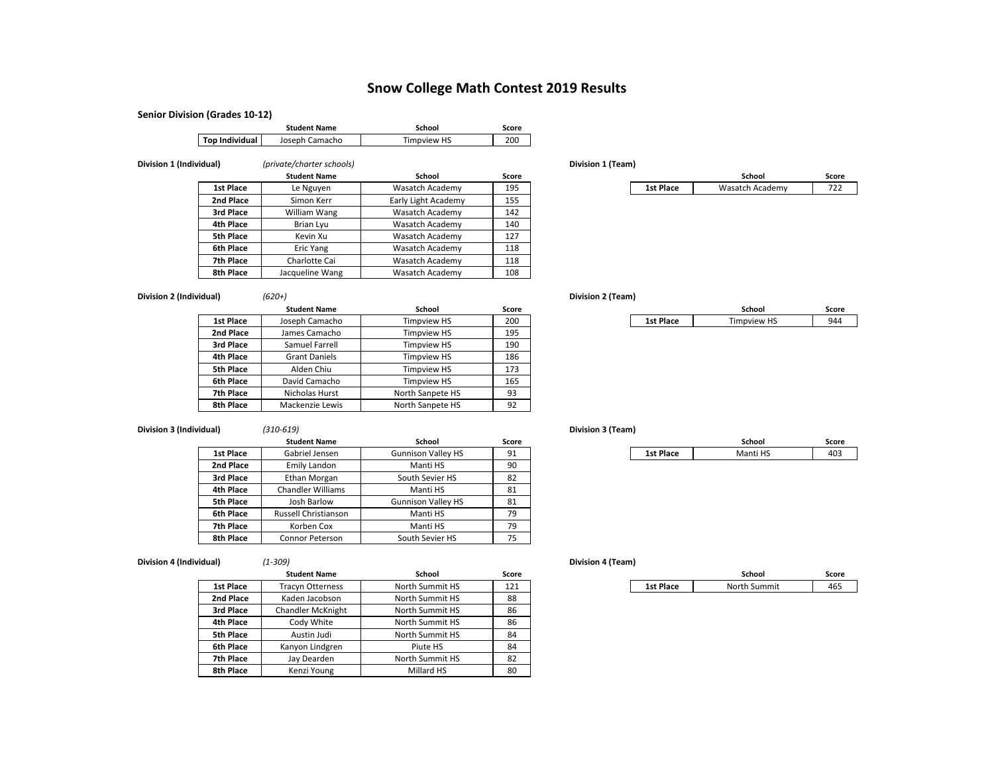## **Snow College Math Contest 2019 Results**

### **Senior Division (Grades 10‐12)**

|                         |                       | <b>Student Name</b>       | School              | Score |                   |           |                 |       |
|-------------------------|-----------------------|---------------------------|---------------------|-------|-------------------|-----------|-----------------|-------|
|                         | <b>Top Individual</b> | Joseph Camacho            | <b>Timpview HS</b>  | 200   |                   |           |                 |       |
|                         |                       |                           |                     |       |                   |           |                 |       |
| Division 1 (Individual) |                       | (private/charter schools) |                     |       | Division 1 (Team) |           |                 |       |
|                         |                       | <b>Student Name</b>       | School              | Score |                   |           | School          | Score |
|                         | 1st Place             | Le Nguyen                 | Wasatch Academy     | 195   |                   | 1st Place | Wasatch Academy | 722   |
|                         | 2nd Place             | Simon Kerr                | Early Light Academy | 155   |                   |           |                 |       |
|                         | 3rd Place             | William Wang              | Wasatch Academy     | 142   |                   |           |                 |       |
|                         | 4th Place             | Brian Lyu                 | Wasatch Academy     | 140   |                   |           |                 |       |

Kevin Xu Wasatch Academy 127

Eric Yang Vasatch Academy 118

Charlotte Cai Wasatch Academy 118

Jacqueline Wang | Wasatch Academy | 108

|           | School          | Score |
|-----------|-----------------|-------|
| 1st Place | Wasatch Academy |       |

**Division 2 (Individual)** *(620+)* **Division 2 (Team)**

**5th Place**

**6th Place**

**7th Place**

**8th Place**

|           | <b>Student Name</b>  | <b>School</b>      | Score |           | School             | Score |
|-----------|----------------------|--------------------|-------|-----------|--------------------|-------|
| 1st Place | Joseph Camacho       | <b>Timpview HS</b> | 200   | 1st Place | <b>Timpview HS</b> |       |
| 2nd Place | James Camacho        | <b>Timpview HS</b> | 195   |           |                    |       |
| 3rd Place | Samuel Farrell       | <b>Timpview HS</b> | 190   |           |                    |       |
| 4th Place | <b>Grant Daniels</b> | <b>Timpview HS</b> | 186   |           |                    |       |
| 5th Place | Alden Chiu           | Timpview HS        | 173   |           |                    |       |
| 6th Place | David Camacho        | Timpview HS        | 165   |           |                    |       |
| 7th Place | Nicholas Hurst       | North Sanpete HS   | 93    |           |                    |       |
| 8th Place | Mackenzie Lewis      | North Sanpete HS   | 92    |           |                    |       |

### **Division 3 (Individual)** *(310‐619)* **Division 3 (Team)**

|                  | <b>Student Name</b>      | School                    | Score |           | School   |  |
|------------------|--------------------------|---------------------------|-------|-----------|----------|--|
| 1st Place        | Gabriel Jensen           | <b>Gunnison Valley HS</b> | 91    | 1st Place | Manti HS |  |
| 2nd Place        | Emily Landon             | Manti HS                  | 90    |           |          |  |
| 3rd Place        | Ethan Morgan             | South Sevier HS           | 82    |           |          |  |
| 4th Place        | <b>Chandler Williams</b> | Manti HS                  | 81    |           |          |  |
| <b>5th Place</b> | Josh Barlow              | <b>Gunnison Valley HS</b> | 81    |           |          |  |
| 6th Place        | Russell Christianson     | Manti HS                  | 79    |           |          |  |
| 7th Place        | Korben Cox               | Manti HS                  | 79    |           |          |  |
| 8th Place        | Connor Peterson          | South Sevier HS           | 75    |           |          |  |

**Division 4 (Individual)** *(1‐309)* **Division 4 (Team)**

| uai) | (1-309) |  |
|------|---------|--|
|      |         |  |

|                  | <b>Student Name</b>      | School          | Score |           | School       | Score |
|------------------|--------------------------|-----------------|-------|-----------|--------------|-------|
| 1st Place        | <b>Tracyn Otterness</b>  | North Summit HS | 121   | 1st Place | North Summit | 465   |
| 2nd Place        | Kaden Jacobson           | North Summit HS | 88    |           |              |       |
| 3rd Place        | <b>Chandler McKnight</b> | North Summit HS | 86    |           |              |       |
| 4th Place        | Cody White               | North Summit HS | 86    |           |              |       |
| <b>5th Place</b> | Austin Judi              | North Summit HS | 84    |           |              |       |
| 6th Place        | Kanyon Lindgren          | Piute HS        | 84    |           |              |       |
| 7th Place        | Jay Dearden              | North Summit HS | 82    |           |              |       |
| 8th Place        | Kenzi Young              | Millard HS      | 80    |           |              |       |

|           | School   | ີ core |
|-----------|----------|--------|
| 1st Place | Manti HS | $\sim$ |

|           | School       |  |
|-----------|--------------|--|
| 1st Place | North Summit |  |